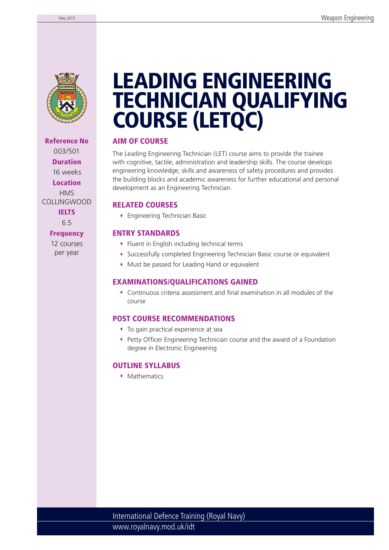

**Reference No** 003/501 **Duration** 16 weeks **Location HMS** COLLINGWOOD **IELTS** 6.5

#### **Frequency**

12 courses per year

# **LEADING ENGINEERING TECHNICIAN QUALIFYING COURSE (LETQC)**

## **AIM OF COURSE**

The Leading Engineering Technician (LET) course aims to provide the trainee with cognitive, tactile, administration and leadership skills. The course develops engineering knowledge, skills and awareness of safety procedures and provides the building blocks and academic awareness for further educational and personal development as an Engineering Technician.

## **RELATED COURSES**

Engineering Technician Basic

### **ENTRY STANDARDS**

- Fluent in English including technical terms
- Successfully completed Engineering Technician Basic course or equivalent
- Must be passed for Leading Hand or equivalent

## **EXAMINATIONS/QUALIFICATIONS GAINED**

• Continuous criteria assessment and final examination in all modules of the course

#### **POST COURSE RECOMMENDATIONS**

- To gain practical experience at sea
- Petty Officer Engineering Technician course and the award of a Foundation degree in Electronic Engineering

#### **OUTLINE SYLLABUS**

• Mathematics

www.royalnavy.mod.uk/idt International Defence Training (Royal Navy)